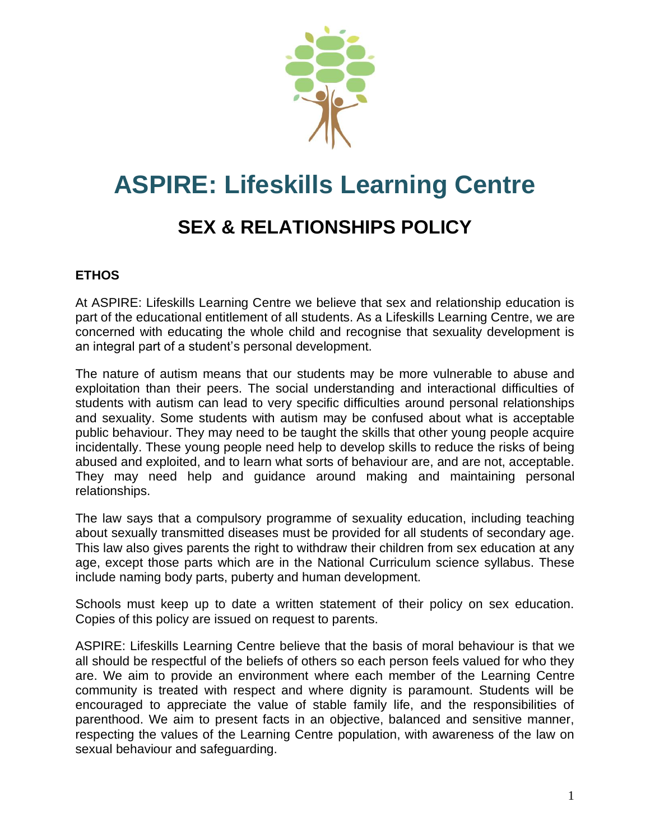

# **ASPIRE: Lifeskills Learning Centre**

# **SEX & RELATIONSHIPS POLICY**

# **ETHOS**

At ASPIRE: Lifeskills Learning Centre we believe that sex and relationship education is part of the educational entitlement of all students. As a Lifeskills Learning Centre, we are concerned with educating the whole child and recognise that sexuality development is an integral part of a student's personal development.

The nature of autism means that our students may be more vulnerable to abuse and exploitation than their peers. The social understanding and interactional difficulties of students with autism can lead to very specific difficulties around personal relationships and sexuality. Some students with autism may be confused about what is acceptable public behaviour. They may need to be taught the skills that other young people acquire incidentally. These young people need help to develop skills to reduce the risks of being abused and exploited, and to learn what sorts of behaviour are, and are not, acceptable. They may need help and guidance around making and maintaining personal relationships.

The law says that a compulsory programme of sexuality education, including teaching about sexually transmitted diseases must be provided for all students of secondary age. This law also gives parents the right to withdraw their children from sex education at any age, except those parts which are in the National Curriculum science syllabus. These include naming body parts, puberty and human development.

Schools must keep up to date a written statement of their policy on sex education. Copies of this policy are issued on request to parents.

ASPIRE: Lifeskills Learning Centre believe that the basis of moral behaviour is that we all should be respectful of the beliefs of others so each person feels valued for who they are. We aim to provide an environment where each member of the Learning Centre community is treated with respect and where dignity is paramount. Students will be encouraged to appreciate the value of stable family life, and the responsibilities of parenthood. We aim to present facts in an objective, balanced and sensitive manner, respecting the values of the Learning Centre population, with awareness of the law on sexual behaviour and safeguarding.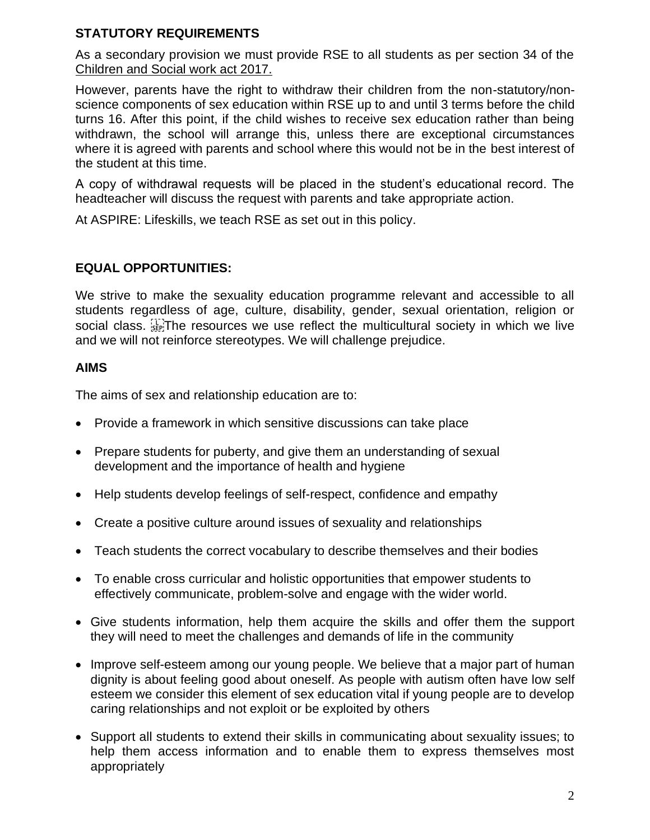# **STATUTORY REQUIREMENTS**

As a secondary provision we must provide RSE to all students as per section 34 of the [Children and Social work act 2017.](http://www.legislation.gov.uk/ukpga/2017/16/section/34/enacted)

However, parents have the right to withdraw their children from the non-statutory/nonscience components of sex education within RSE up to and until 3 terms before the child turns 16. After this point, if the child wishes to receive sex education rather than being withdrawn, the school will arrange this, unless there are exceptional circumstances where it is agreed with parents and school where this would not be in the best interest of the student at this time.

A copy of withdrawal requests will be placed in the student's educational record. The headteacher will discuss the request with parents and take appropriate action.

At ASPIRE: Lifeskills, we teach RSE as set out in this policy.

# **EQUAL OPPORTUNITIES:**

We strive to make the sexuality education programme relevant and accessible to all students regardless of age, culture, disability, gender, sexual orientation, religion or social class. See The resources we use reflect the multicultural society in which we live and we will not reinforce stereotypes. We will challenge prejudice.

### **AIMS**

The aims of sex and relationship education are to:

- Provide a framework in which sensitive discussions can take place
- Prepare students for puberty, and give them an understanding of sexual development and the importance of health and hygiene
- Help students develop feelings of self-respect, confidence and empathy
- Create a positive culture around issues of sexuality and relationships
- Teach students the correct vocabulary to describe themselves and their bodies
- To enable cross curricular and holistic opportunities that empower students to effectively communicate, problem-solve and engage with the wider world.
- Give students information, help them acquire the skills and offer them the support they will need to meet the challenges and demands of life in the community
- Improve self-esteem among our young people. We believe that a major part of human dignity is about feeling good about oneself. As people with autism often have low self esteem we consider this element of sex education vital if young people are to develop caring relationships and not exploit or be exploited by others
- Support all students to extend their skills in communicating about sexuality issues; to help them access information and to enable them to express themselves most appropriately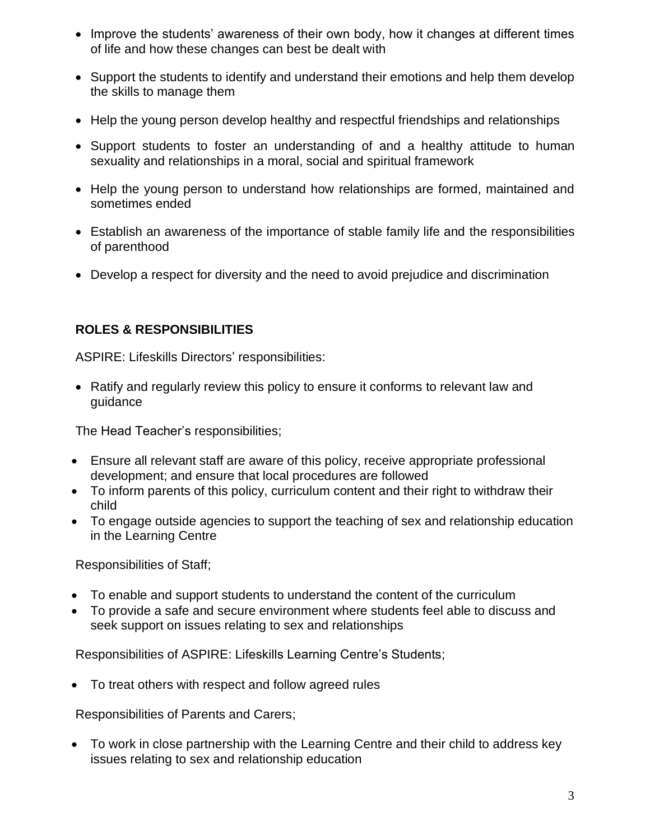- Improve the students' awareness of their own body, how it changes at different times of life and how these changes can best be dealt with
- Support the students to identify and understand their emotions and help them develop the skills to manage them
- Help the young person develop healthy and respectful friendships and relationships
- Support students to foster an understanding of and a healthy attitude to human sexuality and relationships in a moral, social and spiritual framework
- Help the young person to understand how relationships are formed, maintained and sometimes ended
- Establish an awareness of the importance of stable family life and the responsibilities of parenthood
- Develop a respect for diversity and the need to avoid prejudice and discrimination

# **ROLES & RESPONSIBILITIES**

ASPIRE: Lifeskills Directors' responsibilities:

• Ratify and regularly review this policy to ensure it conforms to relevant law and guidance

The Head Teacher's responsibilities;

- Ensure all relevant staff are aware of this policy, receive appropriate professional development; and ensure that local procedures are followed
- To inform parents of this policy, curriculum content and their right to withdraw their child
- To engage outside agencies to support the teaching of sex and relationship education in the Learning Centre

Responsibilities of Staff;

- To enable and support students to understand the content of the curriculum
- To provide a safe and secure environment where students feel able to discuss and seek support on issues relating to sex and relationships

Responsibilities of ASPIRE: Lifeskills Learning Centre's Students;

• To treat others with respect and follow agreed rules

Responsibilities of Parents and Carers;

• To work in close partnership with the Learning Centre and their child to address key issues relating to sex and relationship education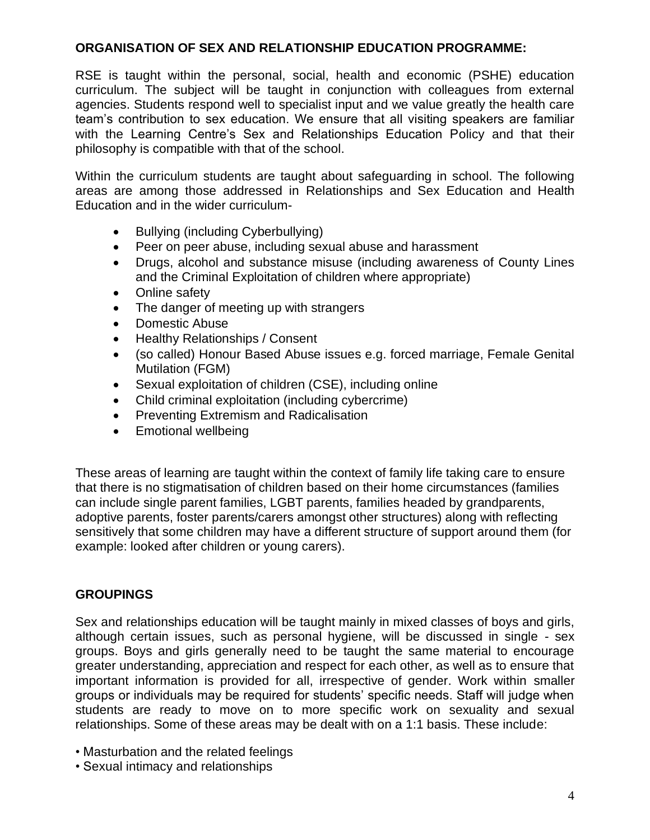# **ORGANISATION OF SEX AND RELATIONSHIP EDUCATION PROGRAMME:**

RSE is taught within the personal, social, health and economic (PSHE) education curriculum. The subject will be taught in conjunction with colleagues from external agencies. Students respond well to specialist input and we value greatly the health care team's contribution to sex education. We ensure that all visiting speakers are familiar with the Learning Centre's Sex and Relationships Education Policy and that their philosophy is compatible with that of the school.

Within the curriculum students are taught about safeguarding in school. The following areas are among those addressed in Relationships and Sex Education and Health Education and in the wider curriculum-

- Bullying (including Cyberbullying)
- Peer on peer abuse, including sexual abuse and harassment
- Drugs, alcohol and substance misuse (including awareness of County Lines and the Criminal Exploitation of children where appropriate)
- Online safety
- The danger of meeting up with strangers
- Domestic Abuse
- Healthy Relationships / Consent
- (so called) Honour Based Abuse issues e.g. forced marriage, Female Genital Mutilation (FGM)
- Sexual exploitation of children (CSE), including online
- Child criminal exploitation (including cybercrime)
- Preventing Extremism and Radicalisation
- Emotional wellbeing

These areas of learning are taught within the context of family life taking care to ensure that there is no stigmatisation of children based on their home circumstances (families can include single parent families, LGBT parents, families headed by grandparents, adoptive parents, foster parents/carers amongst other structures) along with reflecting sensitively that some children may have a different structure of support around them (for example: looked after children or young carers).

### **GROUPINGS**

Sex and relationships education will be taught mainly in mixed classes of boys and girls, although certain issues, such as personal hygiene, will be discussed in single - sex groups. Boys and girls generally need to be taught the same material to encourage greater understanding, appreciation and respect for each other, as well as to ensure that important information is provided for all, irrespective of gender. Work within smaller groups or individuals may be required for students' specific needs. Staff will judge when students are ready to move on to more specific work on sexuality and sexual relationships. Some of these areas may be dealt with on a 1:1 basis. These include:

- Masturbation and the related feelings
- Sexual intimacy and relationships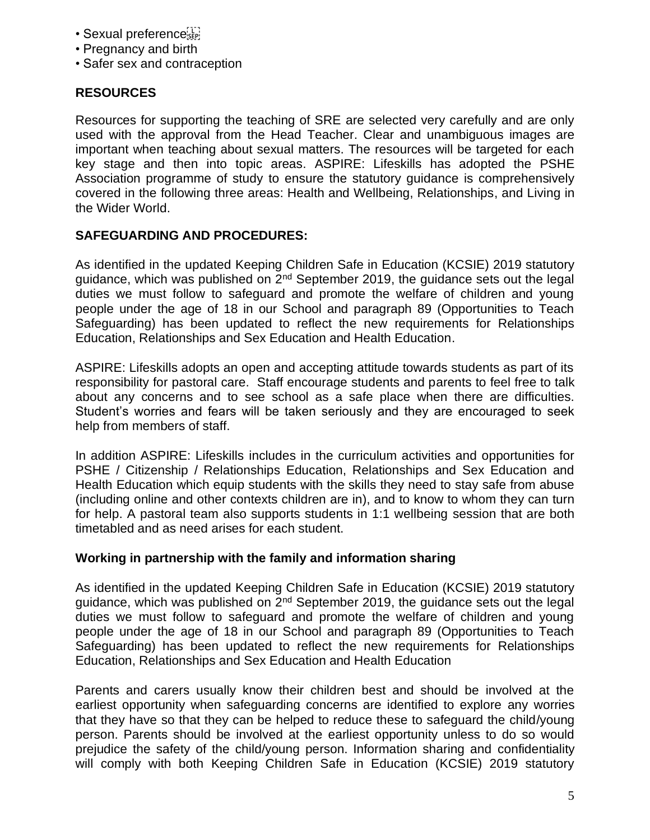- Sexual preference
- Pregnancy and birth
- Safer sex and contraception

# **RESOURCES**

Resources for supporting the teaching of SRE are selected very carefully and are only used with the approval from the Head Teacher. Clear and unambiguous images are important when teaching about sexual matters. The resources will be targeted for each key stage and then into topic areas. ASPIRE: Lifeskills has adopted the PSHE Association programme of study to ensure the statutory guidance is comprehensively covered in the following three areas: Health and Wellbeing, Relationships, and Living in the Wider World.

# **SAFEGUARDING AND PROCEDURES:**

As identified in the updated Keeping Children Safe in Education (KCSIE) 2019 statutory guidance, which was published on  $2^{nd}$  September 2019, the guidance sets out the legal duties we must follow to safeguard and promote the welfare of children and young people under the age of 18 in our School and paragraph 89 (Opportunities to Teach Safeguarding) has been updated to reflect the new requirements for Relationships Education, Relationships and Sex Education and Health Education.

ASPIRE: Lifeskills adopts an open and accepting attitude towards students as part of its responsibility for pastoral care. Staff encourage students and parents to feel free to talk about any concerns and to see school as a safe place when there are difficulties. Student's worries and fears will be taken seriously and they are encouraged to seek help from members of staff.

In addition ASPIRE: Lifeskills includes in the curriculum activities and opportunities for PSHE / Citizenship / Relationships Education, Relationships and Sex Education and Health Education which equip students with the skills they need to stay safe from abuse (including online and other contexts children are in), and to know to whom they can turn for help. A pastoral team also supports students in 1:1 wellbeing session that are both timetabled and as need arises for each student.

# **Working in partnership with the family and information sharing**

As identified in the updated Keeping Children Safe in Education (KCSIE) 2019 statutory guidance, which was published on 2<sup>nd</sup> September 2019, the guidance sets out the legal duties we must follow to safeguard and promote the welfare of children and young people under the age of 18 in our School and paragraph 89 (Opportunities to Teach Safeguarding) has been updated to reflect the new requirements for Relationships Education, Relationships and Sex Education and Health Education

Parents and carers usually know their children best and should be involved at the earliest opportunity when safeguarding concerns are identified to explore any worries that they have so that they can be helped to reduce these to safeguard the child/young person. Parents should be involved at the earliest opportunity unless to do so would prejudice the safety of the child/young person. Information sharing and confidentiality will comply with both Keeping Children Safe in Education (KCSIE) 2019 statutory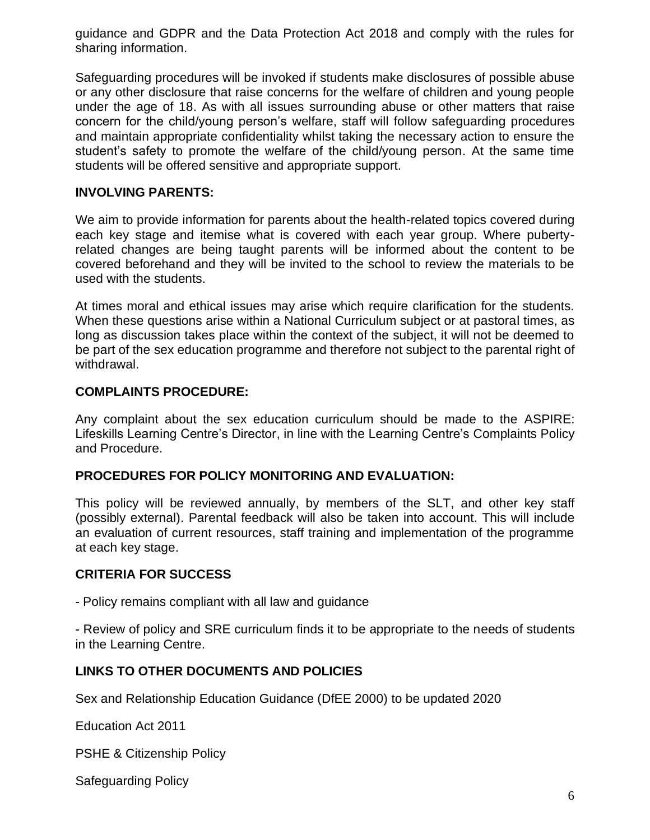guidance and GDPR and the Data Protection Act 2018 and comply with the rules for sharing information.

Safeguarding procedures will be invoked if students make disclosures of possible abuse or any other disclosure that raise concerns for the welfare of children and young people under the age of 18. As with all issues surrounding abuse or other matters that raise concern for the child/young person's welfare, staff will follow safeguarding procedures and maintain appropriate confidentiality whilst taking the necessary action to ensure the student's safety to promote the welfare of the child/young person. At the same time students will be offered sensitive and appropriate support.

# **INVOLVING PARENTS:**

We aim to provide information for parents about the health-related topics covered during each key stage and itemise what is covered with each year group. Where pubertyrelated changes are being taught parents will be informed about the content to be covered beforehand and they will be invited to the school to review the materials to be used with the students.

At times moral and ethical issues may arise which require clarification for the students. When these questions arise within a National Curriculum subject or at pastoral times, as long as discussion takes place within the context of the subject, it will not be deemed to be part of the sex education programme and therefore not subject to the parental right of withdrawal.

# **COMPLAINTS PROCEDURE:**

Any complaint about the sex education curriculum should be made to the ASPIRE: Lifeskills Learning Centre's Director, in line with the Learning Centre's Complaints Policy and Procedure.

### **PROCEDURES FOR POLICY MONITORING AND EVALUATION:**

This policy will be reviewed annually, by members of the SLT, and other key staff (possibly external). Parental feedback will also be taken into account. This will include an evaluation of current resources, staff training and implementation of the programme at each key stage.

# **CRITERIA FOR SUCCESS**

- Policy remains compliant with all law and guidance

- Review of policy and SRE curriculum finds it to be appropriate to the needs of students in the Learning Centre.

# **LINKS TO OTHER DOCUMENTS AND POLICIES**

Sex and Relationship Education Guidance (DfEE 2000) to be updated 2020

Education Act 2011

PSHE & Citizenship Policy

Safeguarding Policy